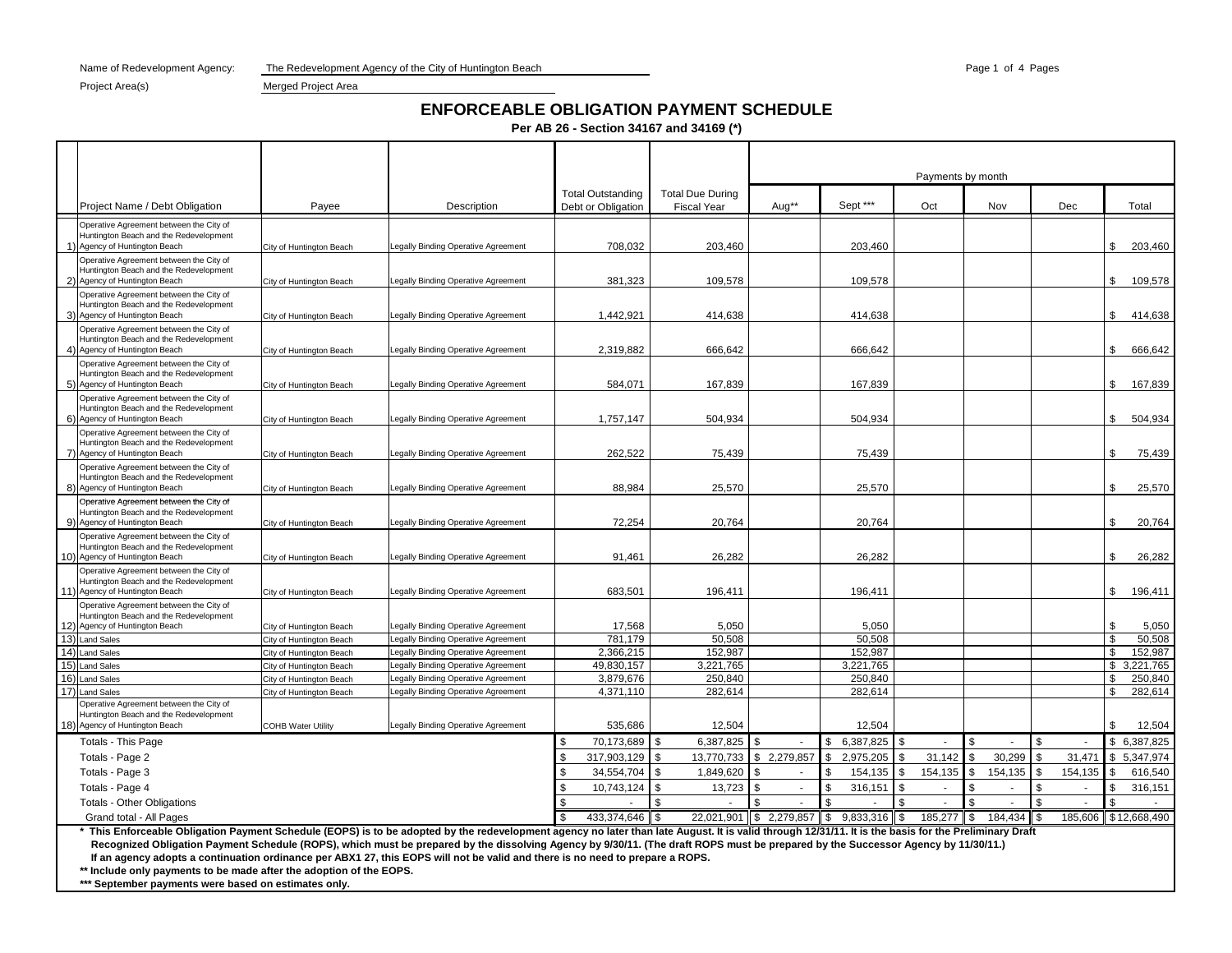Name of Redevelopment Agency: The Redevelopment Agency of the City of Huntington Beach Page 1 of 4 Pages 1 of 4 Pages

#### Project Area(s) Merged Project Area

# **ENFORCEABLE OBLIGATION PAYMENT SCHEDULE**

**Per AB 26 - Section 34167 and 34169 (\*)**

|                                                                                   |                                                      |                                                                          |                          |                         |                         |                   |                | Payments by month |               |                               |
|-----------------------------------------------------------------------------------|------------------------------------------------------|--------------------------------------------------------------------------|--------------------------|-------------------------|-------------------------|-------------------|----------------|-------------------|---------------|-------------------------------|
|                                                                                   |                                                      |                                                                          | <b>Total Outstanding</b> | <b>Total Due During</b> |                         |                   |                |                   |               |                               |
| Project Name / Debt Obligation                                                    | Payee                                                | Description                                                              | Debt or Obligation       | <b>Fiscal Year</b>      | Aug**                   | Sept ***          | Oct            | Nov               | Dec           | Total                         |
| Operative Agreement between the City of                                           |                                                      |                                                                          |                          |                         |                         |                   |                |                   |               |                               |
| Huntington Beach and the Redevelopment<br>1) Agency of Huntington Beach           |                                                      | egally Binding Operative Agreement                                       | 708,032                  | 203,460                 |                         | 203,460           |                |                   |               | \$<br>203,460                 |
| Operative Agreement between the City of                                           | City of Huntington Beach                             |                                                                          |                          |                         |                         |                   |                |                   |               |                               |
| Huntington Beach and the Redevelopment                                            |                                                      |                                                                          |                          |                         |                         |                   |                |                   |               |                               |
| 2) Agency of Huntington Beach                                                     | City of Huntington Beach                             | egally Binding Operative Agreement                                       | 381,323                  | 109,578                 |                         | 109,578           |                |                   |               | \$<br>109,578                 |
| Operative Agreement between the City of                                           |                                                      |                                                                          |                          |                         |                         |                   |                |                   |               |                               |
| Huntington Beach and the Redevelopment<br>3) Agency of Huntington Beach           | City of Huntington Beach                             | egally Binding Operative Agreement                                       | 1,442,921                | 414,638                 |                         | 414,638           |                |                   |               | \$<br>414,638                 |
| Operative Agreement between the City of                                           |                                                      |                                                                          |                          |                         |                         |                   |                |                   |               |                               |
| Huntington Beach and the Redevelopment                                            |                                                      |                                                                          |                          |                         |                         |                   |                |                   |               |                               |
| 4) Agency of Huntington Beach                                                     | City of Huntington Beach                             | egally Binding Operative Agreement                                       | 2,319,882                | 666,642                 |                         | 666,642           |                |                   |               | \$<br>666,642                 |
| Operative Agreement between the City of<br>Huntington Beach and the Redevelopment |                                                      |                                                                          |                          |                         |                         |                   |                |                   |               |                               |
| 5) Agency of Huntington Beach                                                     | City of Huntington Beach                             | egally Binding Operative Agreement.                                      | 584.071                  | 167.839                 |                         | 167,839           |                |                   |               | \$<br>167,839                 |
| Operative Agreement between the City of                                           |                                                      |                                                                          |                          |                         |                         |                   |                |                   |               |                               |
| Huntington Beach and the Redevelopment<br>6) Agency of Huntington Beach           | City of Huntington Beach                             | egally Binding Operative Agreement                                       | 1,757,147                | 504,934                 |                         | 504,934           |                |                   |               | 504,934<br>\$                 |
| Operative Agreement between the City of                                           |                                                      |                                                                          |                          |                         |                         |                   |                |                   |               |                               |
| Huntington Beach and the Redevelopment                                            |                                                      |                                                                          |                          |                         |                         |                   |                |                   |               |                               |
| 7) Agency of Huntington Beach                                                     | City of Huntington Beach                             | Legally Binding Operative Agreement                                      | 262,522                  | 75,439                  |                         | 75,439            |                |                   |               | \$<br>75,439                  |
| Operative Agreement between the City of<br>Huntington Beach and the Redevelopment |                                                      |                                                                          |                          |                         |                         |                   |                |                   |               |                               |
| 8) Agency of Huntington Beach                                                     | City of Huntington Beach                             | Legally Binding Operative Agreement                                      | 88,984                   | 25,570                  |                         | 25,570            |                |                   |               | \$<br>25,570                  |
| Operative Agreement between the City of                                           |                                                      |                                                                          |                          |                         |                         |                   |                |                   |               |                               |
| Huntington Beach and the Redevelopment                                            |                                                      |                                                                          |                          |                         |                         |                   |                |                   |               |                               |
| 9) Agency of Huntington Beach<br>Operative Agreement between the City of          | City of Huntington Beach                             | Legally Binding Operative Agreement                                      | 72,254                   | 20,764                  |                         | 20,764            |                |                   |               | \$<br>20,764                  |
| Huntington Beach and the Redevelopment                                            |                                                      |                                                                          |                          |                         |                         |                   |                |                   |               |                               |
| 10) Agency of Huntington Beach                                                    | City of Huntington Beach                             | egally Binding Operative Agreement                                       | 91,461                   | 26,282                  |                         | 26,282            |                |                   |               | \$<br>26,282                  |
| Operative Agreement between the City of                                           |                                                      |                                                                          |                          |                         |                         |                   |                |                   |               |                               |
| Huntington Beach and the Redevelopment<br>11) Agency of Huntington Beach          | City of Huntington Beach                             | Legally Binding Operative Agreement                                      | 683,501                  | 196,411                 |                         | 196,411           |                |                   |               | \$<br>196,411                 |
| Operative Agreement between the City of                                           |                                                      |                                                                          |                          |                         |                         |                   |                |                   |               |                               |
| Huntington Beach and the Redevelopment                                            |                                                      |                                                                          |                          |                         |                         |                   |                |                   |               |                               |
| 12) Agency of Huntington Beach                                                    | City of Huntington Beach                             | egally Binding Operative Agreement                                       | 17,568                   | 5,050                   |                         | 5,050             |                |                   |               | \$<br>5,050                   |
| 13) Land Sales<br>14) Land Sales                                                  | City of Huntington Beach<br>City of Huntington Beach | egally Binding Operative Agreement<br>egally Binding Operative Agreement | 781.179<br>2,366,215     | 50,508<br>152,987       |                         | 50,508<br>152.987 |                |                   |               | \$<br>50,508<br>\$<br>152,987 |
| 15) Land Sales                                                                    | City of Huntington Beach                             | egally Binding Operative Agreement                                       | 49,830,157               | 3,221,765               |                         | 3,221,765         |                |                   |               | \$<br>3,221,765               |
| 16) Land Sales                                                                    | City of Huntington Beach                             | egally Binding Operative Agreement                                       | 3,879,676                | 250,840                 |                         | 250,840           |                |                   |               | 250,840<br>\$                 |
| 17) Land Sales                                                                    | City of Huntington Beach                             | egally Binding Operative Agreement                                       | 4,371,110                | 282.614                 |                         | 282,614           |                |                   |               | \$<br>282,614                 |
| Operative Agreement between the City of                                           |                                                      |                                                                          |                          |                         |                         |                   |                |                   |               |                               |
| Huntington Beach and the Redevelopment                                            |                                                      |                                                                          |                          |                         |                         |                   |                |                   |               |                               |
| 18) Agency of Huntington Beach                                                    | <b>COHB Water Utility</b>                            | Legally Binding Operative Agreement                                      | 535.686                  | 12,504                  |                         | 12,504            |                |                   |               | \$<br>12,504                  |
| <b>Totals - This Page</b>                                                         |                                                      |                                                                          | 70,173,689<br>- \$       | l \$<br>6,387,825       | \$                      | \$<br>6.387.825   | l \$<br>$\sim$ | $\mathfrak{L}$    | \$            | \$ 6.387.825                  |
| Totals - Page 2                                                                   |                                                      |                                                                          | 317,903,129              | 13,770,733<br>\$        | \$<br>2,279,857         | \$<br>2,975,205   | 31,142<br>l \$ | \$<br>30,299      | 31,471<br>\$  | \$ 5,347,974                  |
| Totals - Page 3                                                                   |                                                      |                                                                          | 34,554,704               | \$<br>1,849,620         | -\$<br>$\sim$           | \$<br>154,135     | 154,135<br>-\$ | \$<br>154,135     | 154,135<br>S. | $\mathbf{s}$<br>616,540       |
| Totals - Page 4                                                                   |                                                      |                                                                          | 10,743,124               | \$<br>13,723            | \$<br>$\sim$            | \$<br>316,151     | -\$<br>$\sim$  | \$<br>$\sim$      | \$.<br>$\sim$ | \$<br>316,151                 |
| <b>Totals - Other Obligations</b>                                                 |                                                      |                                                                          |                          | \$.                     | $\sim$                  | \$                | $\sim$         | \$                | $\sim$        | \$                            |
| Grand total - All Pages                                                           | dan Bermand Cabadula (FODO) is                       |                                                                          | 433,374,646              | 22,021,901              | $\$\$$ 2,279,857 $\$\$$ | 9,833,316         | 185,277        | \$<br>184,434     |               | 185,606 \$12,668,490          |

This Enforceable Obligation Payment Schedule (EOPS) is to be adopted by the redevelopment agency no later than late August. It is valid through 12/31/11. It is the basis for the Preliminary Draft  **Recognized Obligation Payment Schedule (ROPS), which must be prepared by the dissolving Agency by 9/30/11. (The draft ROPS must be prepared by the Successor Agency by 11/30/11.) If an agency adopts a continuation ordinance per ABX1 27, this EOPS will not be valid and there is no need to prepare a ROPS.**

**\*\* Include only payments to be made after the adoption of the EOPS.**

**\*\*\* September payments were based on estimates only.**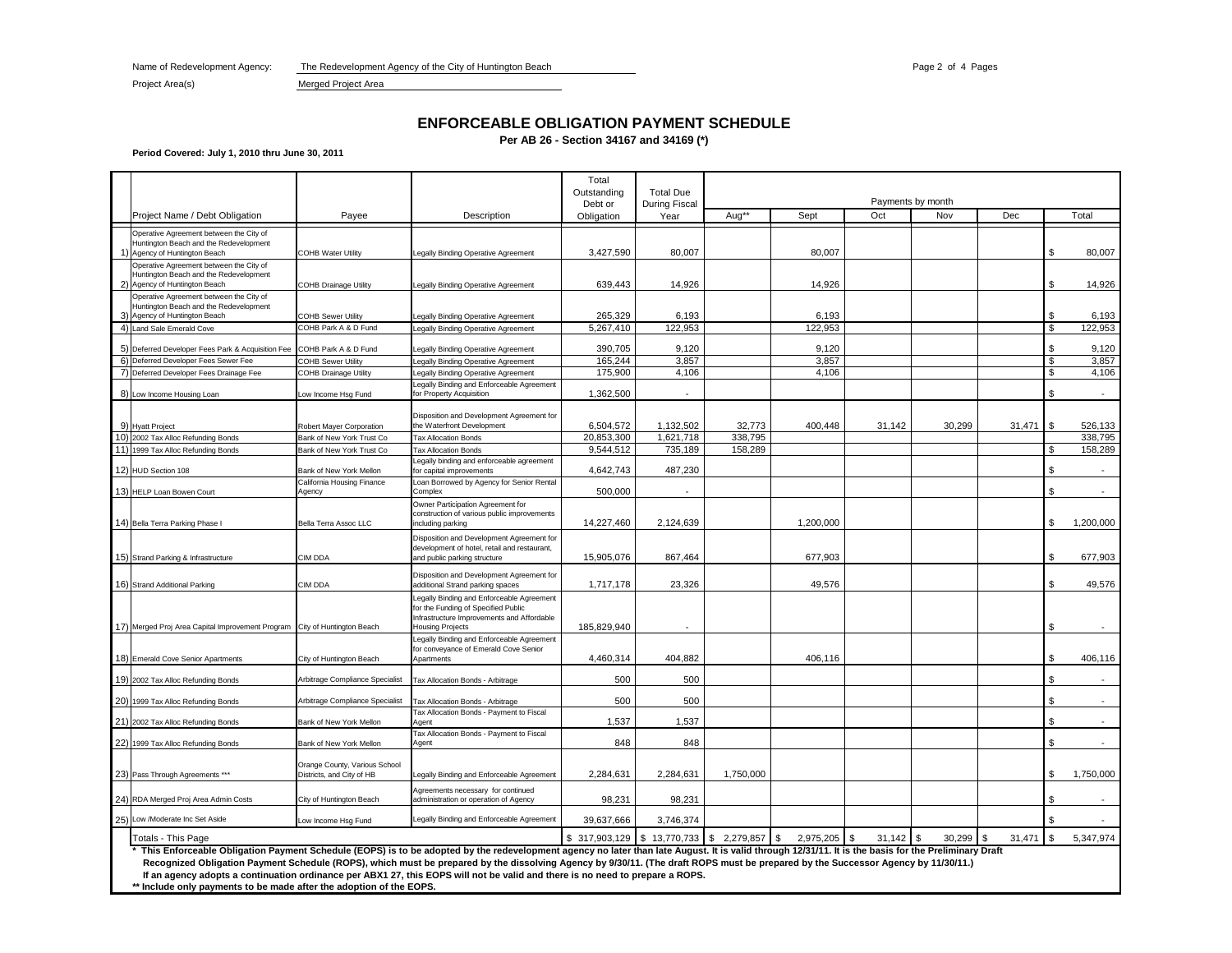Name of Redevelopment Agency: The Redevelopment Agency of the City of Huntington Beach Page 2 of 4 Page 2 of 4 Pages

Project Area(s) Merged Project Area

### **ENFORCEABLE OBLIGATION PAYMENT SCHEDULE**

**Per AB 26 - Section 34167 and 34169 (\*)**

**Period Covered: July 1, 2010 thru June 30, 2011**

|                |                                                                                                                                                                                                       |                                                            |                                                                                                                                                                                                                                                                                                                    | Total<br>Outstanding                          | <b>Total Due</b>     |           |                |        |                          |        |    |                |
|----------------|-------------------------------------------------------------------------------------------------------------------------------------------------------------------------------------------------------|------------------------------------------------------------|--------------------------------------------------------------------------------------------------------------------------------------------------------------------------------------------------------------------------------------------------------------------------------------------------------------------|-----------------------------------------------|----------------------|-----------|----------------|--------|--------------------------|--------|----|----------------|
|                |                                                                                                                                                                                                       |                                                            | Description                                                                                                                                                                                                                                                                                                        | Debt or                                       | <b>During Fiscal</b> | Aug**     | Sept           | Oct    | Payments by month<br>Nov | Dec    |    | Total          |
|                | Project Name / Debt Obligation                                                                                                                                                                        | Payee                                                      |                                                                                                                                                                                                                                                                                                                    | Obligation                                    | Year                 |           |                |        |                          |        |    |                |
|                | Operative Agreement between the City of<br>Huntington Beach and the Redevelopment<br>Agency of Huntington Beach                                                                                       | COHB Water Utility                                         | egally Binding Operative Agreement                                                                                                                                                                                                                                                                                 | 3,427,590                                     | 80,007               |           | 80,007         |        |                          |        | \$ | 80,007         |
|                | Operative Agreement between the City of<br>Huntington Beach and the Redevelopment<br>Agency of Huntington Beach                                                                                       | <b>COHB Drainage Utility</b>                               | egally Binding Operative Agreement                                                                                                                                                                                                                                                                                 | 639,443                                       | 14,926               |           | 14,926         |        |                          |        | £. | 14,926         |
|                | Operative Agreement between the City of<br>Huntington Beach and the Redevelopment<br>Agency of Huntington Beach                                                                                       | <b>COHB Sewer Utility</b>                                  | Legally Binding Operative Agreement                                                                                                                                                                                                                                                                                | 265,329                                       | 6,193                |           | 6,193          |        |                          |        | \$ | 6,193          |
|                | 4) Land Sale Emerald Cove                                                                                                                                                                             | COHB Park A & D Fund                                       | Legally Binding Operative Agreement                                                                                                                                                                                                                                                                                | 5,267,410                                     | 122,953              |           | 122,953        |        |                          |        | \$ | 122,953        |
|                |                                                                                                                                                                                                       |                                                            |                                                                                                                                                                                                                                                                                                                    |                                               | 9.120                |           |                |        |                          |        | \$ |                |
| 6)             | 5) Deferred Developer Fees Park & Acquisition Fee<br>Deferred Developer Fees Sewer Fee                                                                                                                | COHB Park A & D Fund<br>COHB Sewer Utility                 | Legally Binding Operative Agreement<br>Legally Binding Operative Agreement                                                                                                                                                                                                                                         | 390,705<br>165,244                            | 3,857                |           | 9,120<br>3,857 |        |                          |        | \$ | 9,120<br>3,857 |
| $\overline{7}$ | Deferred Developer Fees Drainage Fee                                                                                                                                                                  | <b>COHB Drainage Utility</b>                               | Legally Binding Operative Agreement                                                                                                                                                                                                                                                                                | 175,900                                       | 4,106                |           | 4,106          |        |                          |        | \$ | 4,106          |
|                |                                                                                                                                                                                                       |                                                            | Legally Binding and Enforceable Agreement                                                                                                                                                                                                                                                                          |                                               |                      |           |                |        |                          |        |    |                |
|                | 8) Low Income Housing Loan                                                                                                                                                                            | ow Income Hsg Fund                                         | for Property Acquisition                                                                                                                                                                                                                                                                                           | 1,362,500                                     |                      |           |                |        |                          |        | £. |                |
|                |                                                                                                                                                                                                       |                                                            |                                                                                                                                                                                                                                                                                                                    |                                               |                      |           |                |        |                          |        |    |                |
|                | 9) Hyatt Project                                                                                                                                                                                      | Robert Mayer Corporation                                   | Disposition and Development Agreement for<br>the Waterfront Development                                                                                                                                                                                                                                            | 6,504,572                                     | 1,132,502            | 32,773    | 400,448        | 31,142 | 30,299                   | 31,471 | \$ | 526,133        |
|                | 10) 2002 Tax Alloc Refunding Bonds                                                                                                                                                                    | Bank of New York Trust Co                                  | <b>Tax Allocation Bonds</b>                                                                                                                                                                                                                                                                                        | 20,853,300                                    | 1,621,718            | 338,795   |                |        |                          |        |    | 338,795        |
|                | 11) 1999 Tax Alloc Refunding Bonds                                                                                                                                                                    | Bank of New York Trust Co                                  | <b>Tax Allocation Bonds</b>                                                                                                                                                                                                                                                                                        | 9,544,512                                     | 735,189              | 158,289   |                |        |                          |        | \$ | 158,289        |
|                |                                                                                                                                                                                                       |                                                            | Legally binding and enforceable agreement                                                                                                                                                                                                                                                                          |                                               |                      |           |                |        |                          |        |    |                |
|                | 12) HUD Section 108                                                                                                                                                                                   | Bank of New York Mellon<br>California Housing Finance      | for capital improvements<br>Loan Borrowed by Agency for Senior Rental                                                                                                                                                                                                                                              | 4,642,743                                     | 487,230              |           |                |        |                          |        |    |                |
|                | 13) HELP Loan Bowen Court                                                                                                                                                                             | Agency                                                     | Complex                                                                                                                                                                                                                                                                                                            | 500,000                                       |                      |           |                |        |                          |        | \$ |                |
|                | 14) Bella Terra Parking Phase I                                                                                                                                                                       | Bella Terra Assoc LLC                                      | Owner Participation Agreement for<br>construction of various public improvements<br>ncluding parking                                                                                                                                                                                                               | 14,227,460                                    | 2,124,639            |           | 1,200,000      |        |                          |        | \$ | 1,200,000      |
|                | 15) Strand Parking & Infrastructure                                                                                                                                                                   | CIM DDA                                                    | Disposition and Development Agreement for<br>development of hotel, retail and restaurant,<br>and public parking structure                                                                                                                                                                                          | 15,905,076                                    | 867,464              |           | 677,903        |        |                          |        | £. | 677,903        |
|                |                                                                                                                                                                                                       |                                                            |                                                                                                                                                                                                                                                                                                                    |                                               |                      |           |                |        |                          |        |    |                |
|                | 16) Strand Additional Parking                                                                                                                                                                         | CIM DDA                                                    | Disposition and Development Agreement for<br>additional Strand parking spaces                                                                                                                                                                                                                                      | 1,717,178                                     | 23,326               |           | 49,576         |        |                          |        |    | 49,576         |
|                | 17) Merged Proj Area Capital Improvement Program City of Huntington Beach                                                                                                                             |                                                            | Legally Binding and Enforceable Agreement<br>for the Funding of Specified Public<br>Infrastructure Improvements and Affordable<br><b>Housing Projects</b>                                                                                                                                                          | 185,829,940                                   |                      |           |                |        |                          |        | \$ |                |
|                | 18) Emerald Cove Senior Apartments                                                                                                                                                                    | City of Huntington Beach                                   | Legally Binding and Enforceable Agreement<br>for conveyance of Emerald Cove Senior<br>Apartments                                                                                                                                                                                                                   | 4,460,314                                     | 404,882              |           | 406,116        |        |                          |        | \$ | 406,116        |
|                |                                                                                                                                                                                                       |                                                            |                                                                                                                                                                                                                                                                                                                    |                                               |                      |           |                |        |                          |        | \$ |                |
|                | 19) 2002 Tax Alloc Refunding Bonds                                                                                                                                                                    | Arbitrage Compliance Specialist                            | Tax Allocation Bonds - Arbitrage                                                                                                                                                                                                                                                                                   | 500                                           | 500                  |           |                |        |                          |        |    |                |
|                | 20) 1999 Tax Alloc Refunding Bonds                                                                                                                                                                    | Arbitrage Compliance Specialist                            | Tax Allocation Bonds - Arbitrage                                                                                                                                                                                                                                                                                   | 500                                           | 500                  |           |                |        |                          |        |    |                |
|                | 21) 2002 Tax Alloc Refunding Bonds                                                                                                                                                                    | Bank of New York Mellon                                    | Tax Allocation Bonds - Payment to Fiscal<br>Agent                                                                                                                                                                                                                                                                  | 1,537                                         | 1,537                |           |                |        |                          |        | \$ |                |
|                | 22) 1999 Tax Alloc Refunding Bonds                                                                                                                                                                    | Bank of New York Mellon                                    | Tax Allocation Bonds - Payment to Fiscal<br>Agent                                                                                                                                                                                                                                                                  | 848                                           | 848                  |           |                |        |                          |        | \$ |                |
|                | 23) Pass Through Agreements ***                                                                                                                                                                       | Orange County, Various School<br>Districts, and City of HB | Legally Binding and Enforceable Agreement                                                                                                                                                                                                                                                                          | 2,284,631                                     | 2,284,631            | 1,750,000 |                |        |                          |        | £. | 1,750,000      |
|                | 24) RDA Merged Proj Area Admin Costs                                                                                                                                                                  | City of Huntington Beach                                   | Agreements necessary for continued<br>administration or operation of Agency                                                                                                                                                                                                                                        | 98,231                                        | 98,231               |           |                |        |                          |        | \$ |                |
| 25)            | Low /Moderate Inc Set Aside                                                                                                                                                                           | Low Income Hsg Fund                                        | Legally Binding and Enforceable Agreement                                                                                                                                                                                                                                                                          | 39,637,666                                    | 3,746,374            |           |                |        |                          |        |    |                |
|                | Totals - This Page                                                                                                                                                                                    |                                                            |                                                                                                                                                                                                                                                                                                                    | $$317,903,129$ $$13,770,733$ $$2,279,857$ $$$ |                      |           | 2,975,205 \$   | 31.142 | 30.299                   | 31,471 | \$ | 5,347,974      |
|                | * This Enforceable Obligation Payment Schedule (EOPS) is to be adopted by the redevelopment agency no later than late August. It is valid through 12/31/11. It is the basis for the Preliminary Draft |                                                            | Recognized Obligation Payment Schedule (ROPS), which must be prepared by the dissolving Agency by 9/30/11. (The draft ROPS must be prepared by the Successor Agency by 11/30/11.)<br>If an agency adopts a continuation ordinance per ABX1 27, this EOPS will not be valid and there is no need to prepare a ROPS. |                                               |                      |           |                |        |                          |        |    |                |

**\*\* Include only payments to be made after the adoption of the EOPS.**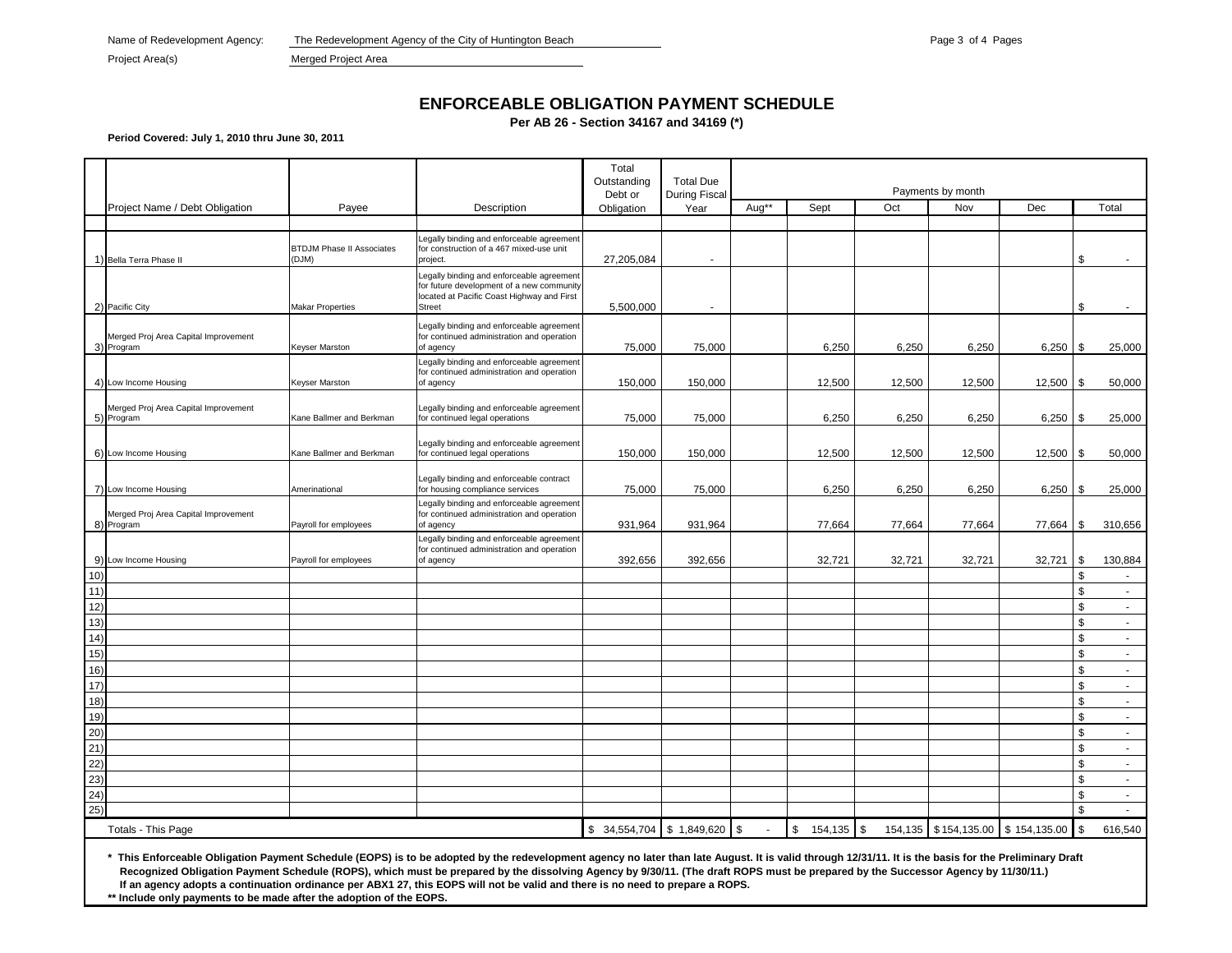Name of Redevelopment Agency: The Redevelopment Agency of the City of Huntington Beach Page 3 of 4 Page 3 of 4 Pages

Project Area(s) Merged Project Area

# **ENFORCEABLE OBLIGATION PAYMENT SCHEDULE**

**Per AB 26 - Section 34167 and 34169 (\*)**

**Period Covered: July 1, 2010 thru June 30, 2011**

|                    |                                                                                                                                                                                                                                                                                                                                                                                                                                                                                                                             |                                           |                                                                                                                                                | Total<br>Outstanding | <b>Total Due</b>     | Payments by month |               |               |        |                           |          |                             |
|--------------------|-----------------------------------------------------------------------------------------------------------------------------------------------------------------------------------------------------------------------------------------------------------------------------------------------------------------------------------------------------------------------------------------------------------------------------------------------------------------------------------------------------------------------------|-------------------------------------------|------------------------------------------------------------------------------------------------------------------------------------------------|----------------------|----------------------|-------------------|---------------|---------------|--------|---------------------------|----------|-----------------------------|
|                    | Project Name / Debt Obligation                                                                                                                                                                                                                                                                                                                                                                                                                                                                                              | Payee                                     | Description                                                                                                                                    | Debt or              | <b>During Fiscal</b> | Aug**             | Sept          | Oct           | Nov    | Dec                       |          | Total                       |
|                    |                                                                                                                                                                                                                                                                                                                                                                                                                                                                                                                             |                                           |                                                                                                                                                | Obligation           | Year                 |                   |               |               |        |                           |          |                             |
|                    | 1) Bella Terra Phase II                                                                                                                                                                                                                                                                                                                                                                                                                                                                                                     | <b>BTDJM Phase II Associates</b><br>(DJM) | Legally binding and enforceable agreement<br>for construction of a 467 mixed-use unit<br>project.                                              | 27,205,084           |                      |                   |               |               |        |                           | \$       |                             |
|                    | 2) Pacific City                                                                                                                                                                                                                                                                                                                                                                                                                                                                                                             | <b>Makar Properties</b>                   | Legally binding and enforceable agreement<br>for future development of a new community<br>located at Pacific Coast Highway and First<br>Street | 5,500,000            |                      |                   |               |               |        |                           | \$       |                             |
|                    |                                                                                                                                                                                                                                                                                                                                                                                                                                                                                                                             |                                           | Legally binding and enforceable agreement                                                                                                      |                      |                      |                   |               |               |        |                           |          |                             |
|                    | Merged Proj Area Capital Improvement<br>3) Program                                                                                                                                                                                                                                                                                                                                                                                                                                                                          | Keyser Marston                            | for continued administration and operation<br>of agency                                                                                        | 75,000               | 75,000               |                   | 6,250         | 6,250         | 6,250  | $6,250$ \ \$              |          | 25,000                      |
|                    |                                                                                                                                                                                                                                                                                                                                                                                                                                                                                                                             |                                           | Legally binding and enforceable agreement                                                                                                      |                      |                      |                   |               |               |        |                           |          |                             |
|                    | 4) Low Income Housing                                                                                                                                                                                                                                                                                                                                                                                                                                                                                                       | Keyser Marston                            | for continued administration and operation<br>of agency                                                                                        | 150,000              | 150,000              |                   | 12,500        | 12,500        | 12,500 | 12,500                    | l \$     | 50,000                      |
|                    | Merged Proj Area Capital Improvement<br>5) Program                                                                                                                                                                                                                                                                                                                                                                                                                                                                          | Kane Ballmer and Berkman                  | Legally binding and enforceable agreement<br>for continued legal operations                                                                    | 75,000               | 75,000               |                   | 6,250         | 6,250         | 6,250  | $6,250$ \ \ \$            |          | 25,000                      |
|                    | 6) Low Income Housing                                                                                                                                                                                                                                                                                                                                                                                                                                                                                                       | Kane Ballmer and Berkman                  | Legally binding and enforceable agreement<br>for continued legal operations                                                                    | 150,000              | 150,000              |                   | 12,500        | 12,500        | 12,500 | 12,500                    | \$       | 50,000                      |
|                    |                                                                                                                                                                                                                                                                                                                                                                                                                                                                                                                             |                                           |                                                                                                                                                |                      |                      |                   |               |               |        |                           |          |                             |
|                    | 7) Low Income Housing                                                                                                                                                                                                                                                                                                                                                                                                                                                                                                       | Amerinational                             | Legally binding and enforceable contract<br>for housing compliance services                                                                    | 75,000               | 75,000               |                   | 6,250         | 6,250         | 6,250  | $6,250$ \ \ \$            |          | 25,000                      |
|                    | Merged Proj Area Capital Improvement<br>8) Program                                                                                                                                                                                                                                                                                                                                                                                                                                                                          | Payroll for employees                     | Legally binding and enforceable agreement<br>for continued administration and operation<br>of agency                                           | 931,964              | 931,964              |                   | 77,664        | 77,664        | 77,664 | 77,664                    | \$       | 310,656                     |
|                    |                                                                                                                                                                                                                                                                                                                                                                                                                                                                                                                             |                                           | egally binding and enforceable agreement<br>or continued administration and operation                                                          |                      |                      |                   |               |               |        |                           |          |                             |
| 10)                | 9) Low Income Housing                                                                                                                                                                                                                                                                                                                                                                                                                                                                                                       | Payroll for employees                     | of agency                                                                                                                                      | 392,656              | 392,656              |                   | 32,721        | 32,721        | 32,721 | 32,721                    | \$<br>\$ | 130,884<br>$\sim$           |
| 11)                |                                                                                                                                                                                                                                                                                                                                                                                                                                                                                                                             |                                           |                                                                                                                                                |                      |                      |                   |               |               |        |                           | \$       | $\sim$                      |
| 12)                |                                                                                                                                                                                                                                                                                                                                                                                                                                                                                                                             |                                           |                                                                                                                                                |                      |                      |                   |               |               |        |                           | \$       | $\sim$                      |
| 13)                |                                                                                                                                                                                                                                                                                                                                                                                                                                                                                                                             |                                           |                                                                                                                                                |                      |                      |                   |               |               |        |                           | \$       | $\sim$                      |
| 14)                |                                                                                                                                                                                                                                                                                                                                                                                                                                                                                                                             |                                           |                                                                                                                                                |                      |                      |                   |               |               |        |                           | \$       | $\mathcal{L}_{\mathcal{A}}$ |
| 15)                |                                                                                                                                                                                                                                                                                                                                                                                                                                                                                                                             |                                           |                                                                                                                                                |                      |                      |                   |               |               |        |                           | \$       | $\sim$                      |
| 16)                |                                                                                                                                                                                                                                                                                                                                                                                                                                                                                                                             |                                           |                                                                                                                                                |                      |                      |                   |               |               |        |                           | \$       | $\sim$                      |
| 17)                |                                                                                                                                                                                                                                                                                                                                                                                                                                                                                                                             |                                           |                                                                                                                                                |                      |                      |                   |               |               |        |                           | \$       | $\sim$                      |
| 18)                |                                                                                                                                                                                                                                                                                                                                                                                                                                                                                                                             |                                           |                                                                                                                                                |                      |                      |                   |               |               |        |                           | \$       | $\sim$                      |
| 19)                |                                                                                                                                                                                                                                                                                                                                                                                                                                                                                                                             |                                           |                                                                                                                                                |                      |                      |                   |               |               |        |                           | \$       | $\sim$                      |
| 20)                |                                                                                                                                                                                                                                                                                                                                                                                                                                                                                                                             |                                           |                                                                                                                                                |                      |                      |                   |               |               |        |                           | \$       | $\blacksquare$              |
| 21)                |                                                                                                                                                                                                                                                                                                                                                                                                                                                                                                                             |                                           |                                                                                                                                                |                      |                      |                   |               |               |        |                           | \$       | $\sim$                      |
| 22)                |                                                                                                                                                                                                                                                                                                                                                                                                                                                                                                                             |                                           |                                                                                                                                                |                      |                      |                   |               |               |        |                           | \$       | $\sim$                      |
| 23)                |                                                                                                                                                                                                                                                                                                                                                                                                                                                                                                                             |                                           |                                                                                                                                                |                      |                      |                   |               |               |        |                           | \$       | $\sim$                      |
| 24)                |                                                                                                                                                                                                                                                                                                                                                                                                                                                                                                                             |                                           |                                                                                                                                                |                      |                      |                   |               |               |        |                           | \$       | $\sim$                      |
| 25)                |                                                                                                                                                                                                                                                                                                                                                                                                                                                                                                                             |                                           |                                                                                                                                                |                      |                      |                   |               |               |        |                           | \$       | $\sim$                      |
| Totals - This Page |                                                                                                                                                                                                                                                                                                                                                                                                                                                                                                                             |                                           |                                                                                                                                                |                      | \$1,849,620          | $\mathfrak s$     | \$<br>154,135 | \$<br>154,135 |        | \$154,135.00 \$154,135.00 | \$       | 616,540                     |
|                    | * This Enforceable Obligation Payment Schedule (EOPS) is to be adopted by the redevelopment agency no later than late August. It is valid through 12/31/11. It is the basis for the Preliminary Draft<br>Recognized Obligation Payment Schedule (ROPS), which must be prepared by the dissolving Agency by 9/30/11. (The draft ROPS must be prepared by the Successor Agency by 11/30/11.)<br>If an agency adopts a continuation ordinance per ABX1 27, this EOPS will not be valid and there is no need to prepare a ROPS. |                                           |                                                                                                                                                |                      |                      |                   |               |               |        |                           |          |                             |

**\*\* Include only payments to be made after the adoption of the EOPS.**